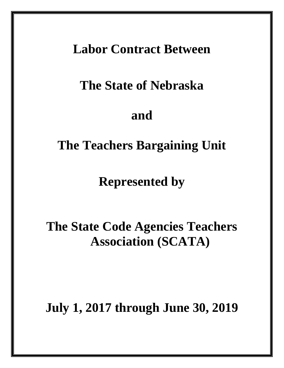### **Labor Contract Between**

## **The State of Nebraska**

### **and**

### **The Teachers Bargaining Unit**

**Represented by**

# **The State Code Agencies Teachers Association (SCATA)**

**July 1, 2017 through June 30, 2019**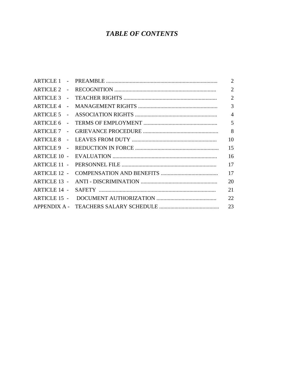### **TABLE OF CONTENTS**

|                                     | 2              |
|-------------------------------------|----------------|
| ARTICLE 2 -                         | $\overline{2}$ |
|                                     | $\overline{2}$ |
| ARTICLE 4 -                         | $\overline{3}$ |
|                                     | $\overline{4}$ |
| <b>ARTICLE 6</b><br>$\sim 10^{-10}$ | 5              |
| ARTICLE 7 -                         | 8              |
|                                     | 10             |
| ARTICLE 9 -                         | 15             |
| <b>ARTICLE 10 -</b>                 | 16             |
| <b>ARTICLE 11 -</b>                 | 17             |
| <b>ARTICLE 12 -</b>                 | 17             |
| <b>ARTICLE 13 -</b>                 | 20             |
| <b>ARTICLE 14 -</b>                 | 21             |
| ARTICLE 15 -                        | 22             |
|                                     | 23             |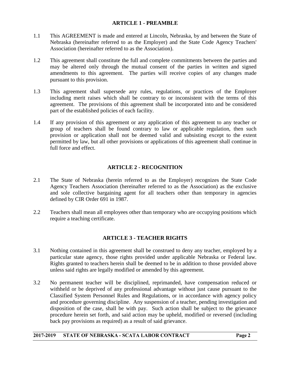#### **ARTICLE 1 - PREAMBLE**

- 1.1 This AGREEMENT is made and entered at Lincoln, Nebraska, by and between the State of Nebraska (hereinafter referred to as the Employer) and the State Code Agency Teachers' Association (hereinafter referred to as the Association).
- 1.2 This agreement shall constitute the full and complete commitments between the parties and may be altered only through the mutual consent of the parties in written and signed amendments to this agreement. The parties will receive copies of any changes made pursuant to this provision.
- 1.3 This agreement shall supersede any rules, regulations, or practices of the Employer including merit raises which shall be contrary to or inconsistent with the terms of this agreement. The provisions of this agreement shall be incorporated into and be considered part of the established policies of each facility.
- 1.4 If any provision of this agreement or any application of this agreement to any teacher or group of teachers shall be found contrary to law or applicable regulation, then such provision or application shall not be deemed valid and subsisting except to the extent permitted by law, but all other provisions or applications of this agreement shall continue in full force and effect.

#### **ARTICLE 2 - RECOGNITION**

- 2.1 The State of Nebraska (herein referred to as the Employer) recognizes the State Code Agency Teachers Association (hereinafter referred to as the Association) as the exclusive and sole collective bargaining agent for all teachers other than temporary in agencies defined by CIR Order 691 in 1987.
- 2.2 Teachers shall mean all employees other than temporary who are occupying positions which require a teaching certificate.

#### **ARTICLE 3 - TEACHER RIGHTS**

- 3.1 Nothing contained in this agreement shall be construed to deny any teacher, employed by a particular state agency, those rights provided under applicable Nebraska or Federal law. Rights granted to teachers herein shall be deemed to be in addition to those provided above unless said rights are legally modified or amended by this agreement.
- 3.2 No permanent teacher will be disciplined, reprimanded, have compensation reduced or withheld or be deprived of any professional advantage without just cause pursuant to the Classified System Personnel Rules and Regulations, or in accordance with agency policy and procedure governing discipline. Any suspension of a teacher, pending investigation and disposition of the case, shall be with pay. Such action shall be subject to the grievance procedure herein set forth, and said action may be upheld, modified or reversed (including back pay provisions as required) as a result of said grievance.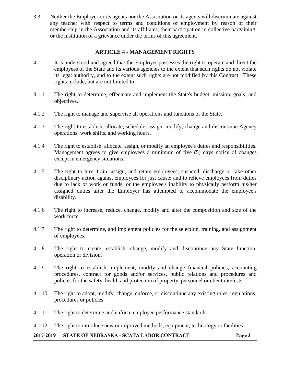3.3 Neither the Employer or its agents nor the Association or its agents will discriminate against any teacher with respect to terms and conditions of employment by reason of their membership in the Association and its affiliates, their participation in collective bargaining, or the institution of a grievance under the terms of this agreement.

#### **ARTICLE 4 - MANAGEMENT RIGHTS**

- 4.1 It is understood and agreed that the Employer possesses the right to operate and direct the employees of the State and its various agencies to the extent that such rights do not violate its legal authority, and to the extent such rights are not modified by this Contract. These rights include, but are not limited to:
- 4.1.1 The right to determine, effectuate and implement the State's budget, mission, goals, and objectives.
- 4.1.2 The right to manage and supervise all operations and functions of the State.
- 4.1.3 The right to establish, allocate, schedule, assign, modify, change and discontinue Agency operations, work shifts, and working hours.
- 4.1.4 The right to establish, allocate, assign, or modify an employee's duties and responsibilities. Management agrees to give employees a minimum of five (5) days notice of changes except in emergency situations.
- 4.1.5 The right to hire, train, assign, and retain employees; suspend, discharge or take other disciplinary action against employees for just cause; and to relieve employees from duties due to lack of work or funds, or the employee's inability to physically perform his/her assigned duties after the Employer has attempted to accommodate the employee's disability.
- 4.1.6 The right to increase, reduce, change, modify and alter the composition and size of the work force.
- 4.1.7 The right to determine, and implement policies for the selection, training, and assignment of employees.
- 4.1.8 The right to create, establish, change, modify and discontinue any State function, operation or division.
- 4.1.9 The right to establish, implement, modify and change financial policies, accounting procedures, contract for goods and/or services, public relations and procedures and policies for the safety, health and protection of property, personnel or client interests.
- 4.1.10 The right to adopt, modify, change, enforce, or discontinue any existing rules, regulations, procedures or policies.
- 4.1.11 The right to determine and enforce employee performance standards.

4.1.12 The right to introduce new or improved methods, equipment, technology or facilities.

2017-2019 STATE OF NEBRASKA - SCATA LABOR CONTRACT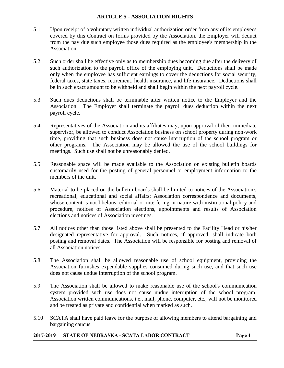#### **ARTICLE 5 - ASSOCIATION RIGHTS**

- 5.1 Upon receipt of a voluntary written individual authorization order from any of its employees covered by this Contract on forms provided by the Association, the Employer will deduct from the pay due such employee those dues required as the employee's membership in the Association.
- 5.2 Such order shall be effective only as to membership dues becoming due after the delivery of such authorization to the payroll office of the employing unit. Deductions shall be made only when the employee has sufficient earnings to cover the deductions for social security, federal taxes, state taxes, retirement, health insurance, and life insurance. Deductions shall be in such exact amount to be withheld and shall begin within the next payroll cycle.
- 5.3 Such dues deductions shall be terminable after written notice to the Employer and the Association. The Employer shall terminate the payroll dues deduction within the next payroll cycle.
- 5.4 Representatives of the Association and its affiliates may, upon approval of their immediate supervisor, be allowed to conduct Association business on school property during non-work time, providing that such business does not cause interruption of the school program or other programs. The Association may be allowed the use of the school buildings for meetings. Such use shall not be unreasonably denied.
- 5.5 Reasonable space will be made available to the Association on existing bulletin boards customarily used for the posting of general personnel or employment information to the members of the unit.
- 5.6 Material to be placed on the bulletin boards shall be limited to notices of the Association's recreational, educational and social affairs; Association correspondence and documents, whose content is not libelous, editorial or interfering in nature with institutional policy and procedure, notices of Association elections, appointments and results of Association elections and notices of Association meetings.
- 5.7 All notices other than those listed above shall be presented to the Facility Head or his/her designated representative for approval. Such notices, if approved, shall indicate both posting and removal dates. The Association will be responsible for posting and removal of all Association notices.
- 5.8 The Association shall be allowed reasonable use of school equipment, providing the Association furnishes expendable supplies consumed during such use, and that such use does not cause undue interruption of the school program.
- 5.9 The Association shall be allowed to make reasonable use of the school's communication system provided such use does not cause undue interruption of the school program. Association written communications, i.e., mail, phone, computer, etc., will not be monitored and be treated as private and confidential when marked as such.
- 5.10 SCATA shall have paid leave for the purpose of allowing members to attend bargaining and bargaining caucus.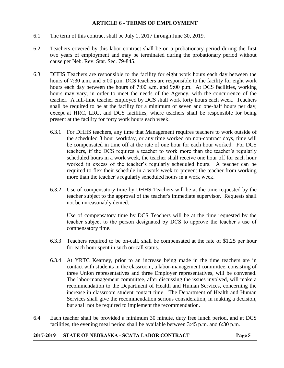#### **ARTICLE 6 - TERMS OF EMPLOYMENT**

- 6.1 The term of this contract shall be July 1, 2017 through June 30, 2019.
- 6.2 Teachers covered by this labor contract shall be on a probationary period during the first two years of employment and may be terminated during the probationary period without cause per Neb. Rev. Stat. Sec. 79-845.
- 6.3 DHHS Teachers are responsible to the facility for eight work hours each day between the hours of 7:30 a.m. and 5:00 p.m. DCS teachers are responsible to the facility for eight work hours each day between the hours of 7:00 a.m. and 9:00 p.m. At DCS facilities, working hours may vary, in order to meet the needs of the Agency, with the concurrence of the teacher. A full-time teacher employed by DCS shall work forty hours each week. Teachers shall be required to be at the facility for a minimum of seven and one-half hours per day, except at HRC, LRC, and DCS facilities, where teachers shall be responsible for being present at the facility for forty work hours each week.
	- 6.3.1 For DHHS teachers, any time that Management requires teachers to work outside of the scheduled 8 hour workday, or any time worked on non-contract days, time will be compensated in time off at the rate of one hour for each hour worked. For DCS teachers, if the DCS requires a teacher to work more than the teacher's regularly scheduled hours in a work week, the teacher shall receive one hour off for each hour worked in excess of the teacher's regularly scheduled hours. A teacher can be required to flex their schedule in a work week to prevent the teacher from working more than the teacher's regularly scheduled hours in a work week.
	- 6.3.2 Use of compensatory time by DHHS Teachers will be at the time requested by the teacher subject to the approval of the teacher's immediate supervisor. Requests shall not be unreasonably denied.

Use of compensatory time by DCS Teachers will be at the time requested by the teacher subject to the person designated by DCS to approve the teacher's use of compensatory time.

- 6.3.3 Teachers required to be on-call, shall be compensated at the rate of \$1.25 per hour for each hour spent in such on-call status.
- 6.3.4 At YRTC Kearney, prior to an increase being made in the time teachers are in contact with students in the classroom, a labor-management committee, consisting of three Union representatives and three Employer representatives, will be convened. The labor-management committee, after discussing the issues involved, will make a recommendation to the Department of Health and Human Services, concerning the increase in classroom student contact time. The Department of Health and Human Services shall give the recommendation serious consideration, in making a decision, but shall not be required to implement the recommendation.
- 6.4 Each teacher shall be provided a minimum 30 minute, duty free lunch period, and at DCS facilities, the evening meal period shall be available between 3:45 p.m. and 6:30 p.m.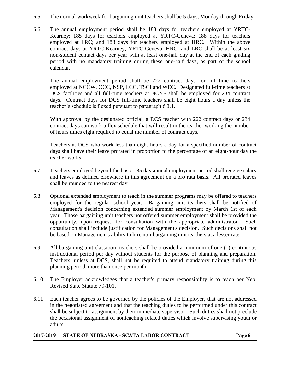- 6.5 The normal workweek for bargaining unit teachers shall be 5 days, Monday through Friday.
- 6.6 The annual employment period shall be 188 days for teachers employed at YRTC-Kearney; 185 days for teachers employed at YRTC-Geneva; 188 days for teachers employed at LRC; and 188 days for teachers employed at HRC. Within the above contract days at YRTC-Kearney, YRTC-Geneva, HRC, and LRC shall be at least six non-student contact days per year with at least one-half day at the end of each grading period with no mandatory training during these one-half days, as part of the school calendar.

The annual employment period shall be 222 contract days for full-time teachers employed at NCCW, OCC, NSP, LCC, TSCI and WEC. Designated full-time teachers at DCS facilities and all full-time teachers at NCYF shall be employed for 234 contract days. Contract days for DCS full-time teachers shall be eight hours a day unless the teacher's schedule is flexed pursuant to paragraph 6.3.1.

With approval by the designated official, a DCS teacher with 222 contract days or 234 contract days can work a flex schedule that will result in the teacher working the number of hours times eight required to equal the number of contract days.

Teachers at DCS who work less than eight hours a day for a specified number of contract days shall have their leave prorated in proportion to the percentage of an eight-hour day the teacher works.

- 6.7 Teachers employed beyond the basic 185 day annual employment period shall receive salary and leaves as defined elsewhere in this agreement on a pro rata basis. All prorated leaves shall be rounded to the nearest day.
- 6.8 Optional extended employment to teach in the summer programs may be offered to teachers employed for the regular school year. Bargaining unit teachers shall be notified of Management's decision concerning extended summer employment by March 1st of each year. Those bargaining unit teachers not offered summer employment shall be provided the opportunity, upon request, for consultation with the appropriate administrator. Such consultation shall include justification for Management's decision. Such decisions shall not be based on Management's ability to hire non-bargaining unit teachers at a lesser rate.
- 6.9 All bargaining unit classroom teachers shall be provided a minimum of one (1) continuous instructional period per day without students for the purpose of planning and preparation. Teachers, unless at DCS, shall not be required to attend mandatory training during this planning period, more than once per month.
- 6.10 The Employer acknowledges that a teacher's primary responsibility is to teach per Neb. Revised State Statute 79-101.
- 6.11 Each teacher agrees to be governed by the policies of the Employer, that are not addressed in the negotiated agreement and that the teaching duties to be performed under this contract shall be subject to assignment by their immediate supervisor. Such duties shall not preclude the occasional assignment of nonteaching related duties which involve supervising youth or adults.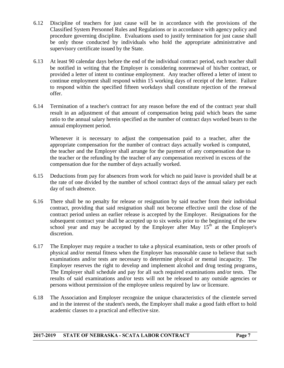- 6.12 Discipline of teachers for just cause will be in accordance with the provisions of the Classified System Personnel Rules and Regulations or in accordance with agency policy and procedure governing discipline. Evaluations used to justify termination for just cause shall be only those conducted by individuals who hold the appropriate administrative and supervisory certificate issued by the State.
- 6.13 At least 90 calendar days before the end of the individual contract period, each teacher shall be notified in writing that the Employer is considering nonrenewal of his/her contract, or provided a letter of intent to continue employment. Any teacher offered a letter of intent to continue employment shall respond within 15 working days of receipt of the letter. Failure to respond within the specified fifteen workdays shall constitute rejection of the renewal offer.
- 6.14 Termination of a teacher's contract for any reason before the end of the contract year shall result in an adjustment of that amount of compensation being paid which bears the same ratio to the annual salary herein specified as the number of contract days worked bears to the annual employment period.

Whenever it is necessary to adjust the compensation paid to a teacher, after the appropriate compensation for the number of contract days actually worked is computed, the teacher and the Employer shall arrange for the payment of any compensation due to the teacher or the refunding by the teacher of any compensation received in excess of the compensation due for the number of days actually worked.

- 6.15 Deductions from pay for absences from work for which no paid leave is provided shall be at the rate of one divided by the number of school contract days of the annual salary per each day of such absence.
- 6.16 There shall be no penalty for release or resignation by said teacher from their individual contract, providing that said resignation shall not become effective until the close of the contract period unless an earlier release is accepted by the Employer. Resignations for the subsequent contract year shall be accepted up to six weeks prior to the beginning of the new school year and may be accepted by the Employer after May  $15<sup>th</sup>$  at the Employer's discretion.
- 6.17 The Employer may require a teacher to take a physical examination, tests or other proofs of physical and/or mental fitness when the Employer has reasonable cause to believe that such examinations and/or tests are necessary to determine physical or mental incapacity. The Employer reserves the right to develop and implement alcohol and drug testing programs. The Employer shall schedule and pay for all such required examinations and/or tests. The results of said examinations and/or tests will not be released to any outside agencies or persons without permission of the employee unless required by law or licensure.
- 6.18 The Association and Employer recognize the unique characteristics of the clientele served and in the interest of the student's needs, the Employer shall make a good faith effort to hold academic classes to a practical and effective size.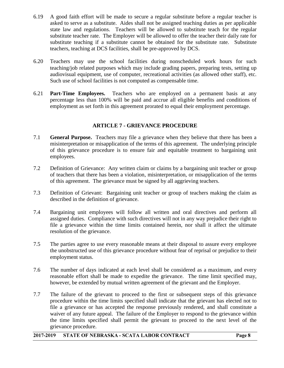- 6.19 A good faith effort will be made to secure a regular substitute before a regular teacher is asked to serve as a substitute. Aides shall not be assigned teaching duties as per applicable state law and regulations. Teachers will be allowed to substitute teach for the regular substitute teacher rate. The Employer will be allowed to offer the teacher their daily rate for substitute teaching if a substitute cannot be obtained for the substitute rate*.* Substitute teachers, teaching at DCS facilities, shall be pre-approved by DCS.
- 6.20 Teachers may use the school facilities during nonscheduled work hours for such teaching/job related purposes which may include grading papers, preparing tests, setting up audiovisual equipment, use of computer, recreational activities (as allowed other staff), etc. Such use of school facilities is not computed as compensable time.
- 6.21 **Part-Time Employees.** Teachers who are employed on a permanent basis at any percentage less than 100% will be paid and accrue all eligible benefits and conditions of employment as set forth in this agreement prorated to equal their employment percentage.

#### **ARTICLE 7 - GRIEVANCE PROCEDURE**

- 7.1 **General Purpose.** Teachers may file a grievance when they believe that there has been a misinterpretation or misapplication of the terms of this agreement. The underlying principle of this grievance procedure is to ensure fair and equitable treatment to bargaining unit employees.
- 7.2 Definition of Grievance: Any written claim or claims by a bargaining unit teacher or group of teachers that there has been a violation, misinterpretation, or misapplication of the terms of this agreement. The grievance must be signed by all aggrieving teachers.
- 7.3 Definition of Grievant: Bargaining unit teacher or group of teachers making the claim as described in the definition of grievance.
- 7.4 Bargaining unit employees will follow all written and oral directives and perform all assigned duties. Compliance with such directives will not in any way prejudice their right to file a grievance within the time limits contained herein, nor shall it affect the ultimate resolution of the grievance.
- 7.5 The parties agree to use every reasonable means at their disposal to assure every employee the unobstructed use of this grievance procedure without fear of reprisal or prejudice to their employment status.
- 7.6 The number of days indicated at each level shall be considered as a maximum, and every reasonable effort shall be made to expedite the grievance. The time limit specified may, however, be extended by mutual written agreement of the grievant and the Employer.
- 7.7 The failure of the grievant to proceed to the first or subsequent steps of this grievance procedure within the time limits specified shall indicate that the grievant has elected not to file a grievance or has accepted the response previously rendered, and shall constitute a waiver of any future appeal. The failure of the Employer to respond to the grievance within the time limits specified shall permit the grievant to proceed to the next level of the grievance procedure.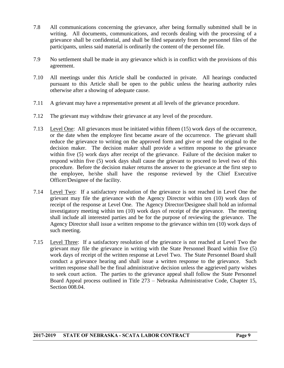- 7.8 All communications concerning the grievance, after being formally submitted shall be in writing. All documents, communications, and records dealing with the processing of a grievance shall be confidential, and shall be filed separately from the personnel files of the participants, unless said material is ordinarily the content of the personnel file.
- 7.9 No settlement shall be made in any grievance which is in conflict with the provisions of this agreement.
- 7.10 All meetings under this Article shall be conducted in private. All hearings conducted pursuant to this Article shall be open to the public unless the hearing authority rules otherwise after a showing of adequate cause.
- 7.11 A grievant may have a representative present at all levels of the grievance procedure.
- 7.12 The grievant may withdraw their grievance at any level of the procedure.
- 7.13 Level One: All grievances must be initiated within fifteen (15) work days of the occurrence, or the date when the employee first became aware of the occurrence. The grievant shall reduce the grievance to writing on the approved form and give or send the original to the decision maker. The decision maker shall provide a written response to the grievance within five (5) work days after receipt of the grievance. Failure of the decision maker to respond within five (5) work days shall cause the grievant to proceed to level two of this procedure. Before the decision maker returns the answer to the grievance at the first step to the employee, he/she shall have the response reviewed by the Chief Executive Officer/Designee of the facility.
- 7.14 Level Two: If a satisfactory resolution of the grievance is not reached in Level One the grievant may file the grievance with the Agency Director within ten (10) work days of receipt of the response at Level One. The Agency Director/Designee shall hold an informal investigatory meeting within ten (10) work days of receipt of the grievance. The meeting shall include all interested parties and be for the purpose of reviewing the grievance. The Agency Director shall issue a written response to the grievance within ten (10) work days of such meeting.
- 7.15 Level Three: If a satisfactory resolution of the grievance is not reached at Level Two the grievant may file the grievance in writing with the State Personnel Board within five (5) work days of receipt of the written response at Level Two. The State Personnel Board shall conduct a grievance hearing and shall issue a written response to the grievance. Such written response shall be the final administrative decision unless the aggrieved party wishes to seek court action. The parties to the grievance appeal shall follow the State Personnel Board Appeal process outlined in Title 273 – Nebraska Administrative Code, Chapter 15, Section 008.04.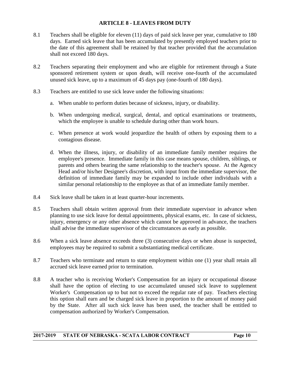#### **ARTICLE 8 - LEAVES FROM DUTY**

- 8.1 Teachers shall be eligible for eleven (11) days of paid sick leave per year, cumulative to 180 days. Earned sick leave that has been accumulated by presently employed teachers prior to the date of this agreement shall be retained by that teacher provided that the accumulation shall not exceed 180 days.
- 8.2 Teachers separating their employment and who are eligible for retirement through a State sponsored retirement system or upon death, will receive one-fourth of the accumulated unused sick leave, up to a maximum of 45 days pay (one-fourth of 180 days).
- 8.3 Teachers are entitled to use sick leave under the following situations:
	- a. When unable to perform duties because of sickness, injury, or disability.
	- b. When undergoing medical, surgical, dental, and optical examinations or treatments, which the employee is unable to schedule during other than work hours.
	- c. When presence at work would jeopardize the health of others by exposing them to a contagious disease.
	- d. When the illness, injury, or disability of an immediate family member requires the employee's presence. Immediate family in this case means spouse, children, siblings, or parents and others bearing the same relationship to the teacher's spouse. At the Agency Head and/or his/her Designee's discretion, with input from the immediate supervisor, the definition of immediate family may be expanded to include other individuals with a similar personal relationship to the employee as that of an immediate family member.
- 8.4 Sick leave shall be taken in at least quarter-hour increments.
- 8.5 Teachers shall obtain written approval from their immediate supervisor in advance when planning to use sick leave for dental appointments, physical exams, etc. In case of sickness, injury, emergency or any other absence which cannot be approved in advance, the teachers shall advise the immediate supervisor of the circumstances as early as possible.
- 8.6 When a sick leave absence exceeds three (3) consecutive days or when abuse is suspected, employees may be required to submit a substantiating medical certificate.
- 8.7 Teachers who terminate and return to state employment within one (1) year shall retain all accrued sick leave earned prior to termination.
- 8.8 A teacher who is receiving Worker's Compensation for an injury or occupational disease shall have the option of electing to use accumulated unused sick leave to supplement Worker's Compensation up to but not to exceed the regular rate of pay. Teachers electing this option shall earn and be charged sick leave in proportion to the amount of money paid by the State. After all such sick leave has been used, the teacher shall be entitled to compensation authorized by Worker's Compensation.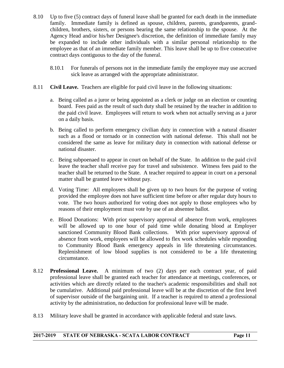- 8.10 Up to five (5) contract days of funeral leave shall be granted for each death in the immediate family. Immediate family is defined as spouse, children, parents, grandparents, grandchildren, brothers, sisters, or persons bearing the same relationship to the spouse. At the Agency Head and/or his/her Designee's discretion, the definition of immediate family may be expanded to include other individuals with a similar personal relationship to the employee as that of an immediate family member. This leave shall be up to five consecutive contract days contiguous to the day of the funeral.
	- 8.10.1 For funerals of persons not in the immediate family the employee may use accrued sick leave as arranged with the appropriate administrator.
- 8.11 **Civil Leave.** Teachers are eligible for paid civil leave in the following situations:
	- a. Being called as a juror or being appointed as a clerk or judge on an election or counting board. Fees paid as the result of such duty shall be retained by the teacher in addition to the paid civil leave. Employees will return to work when not actually serving as a juror on a daily basis.
	- b. Being called to perform emergency civilian duty in connection with a natural disaster such as a flood or tornado or in connection with national defense. This shall not be considered the same as leave for military duty in connection with national defense or national disaster.
	- c. Being subpoenaed to appear in court on behalf of the State. In addition to the paid civil leave the teacher shall receive pay for travel and subsistence. Witness fees paid to the teacher shall be returned to the State. A teacher required to appear in court on a personal matter shall be granted leave without pay.
	- d. Voting Time: All employees shall be given up to two hours for the purpose of voting provided the employee does not have sufficient time before or after regular duty hours to vote. The two hours authorized for voting does not apply to those employees who by reasons of their employment must vote by use of an absentee ballot.
	- e. Blood Donations: With prior supervisory approval of absence from work, employees will be allowed up to one hour of paid time while donating blood at Employer sanctioned Community Blood Bank collections. With prior supervisory approval of absence from work, employees will be allowed to flex work schedules while responding to Community Blood Bank emergency appeals in life threatening circumstances. Replenishment of low blood supplies is not considered to be a life threatening circumstance.
- 8.12 **Professional Leave.** A minimum of two (2) days per each contract year, of paid professional leave shall be granted each teacher for attendance at meetings, conferences, or activities which are directly related to the teacher's academic responsibilities and shall not be cumulative. Additional paid professional leave will be at the discretion of the first level of supervisor outside of the bargaining unit. If a teacher is required to attend a professional activity by the administration, no deduction for professional leave will be made.
- 8.13 Military leave shall be granted in accordance with applicable federal and state laws.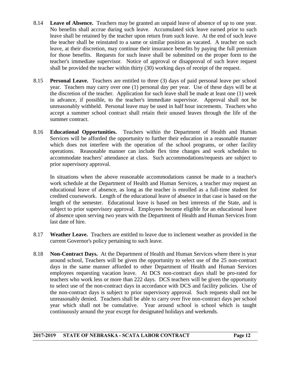- 8.14 **Leave of Absence.** Teachers may be granted an unpaid leave of absence of up to one year. No benefits shall accrue during such leave. Accumulated sick leave earned prior to such leave shall be retained by the teacher upon return from such leave. At the end of such leave the teacher shall be reinstated to a same or similar position as vacated. A teacher on such leave, at their discretion, may continue their insurance benefits by paying the full premium for those benefits. Requests for such leave shall be submitted on the proper form to the teacher's immediate supervisor. Notice of approval or disapproval of such leave request shall be provided the teacher within thirty (30) working days of receipt of the request.
- 8.15 **Personal Leave.** Teachers are entitled to three (3) days of paid personal leave per school year. Teachers may carry over one (1) personal day per year. Use of these days will be at the discretion of the teacher. Application for such leave shall be made at least one (1) week in advance, if possible, to the teacher's immediate supervisor. Approval shall not be unreasonably withheld. Personal leave may be used in half hour increments. Teachers who accept a summer school contract shall retain their unused leaves through the life of the summer contract.
- 8.16 **Educational Opportunities.** Teachers within the Department of Health and Human Services will be afforded the opportunity to further their education in a reasonable manner which does not interfere with the operation of the school programs, or other facility operations. Reasonable manner can include flex time changes and work schedules to accommodate teachers' attendance at class. Such accommodations/requests are subject to prior supervisory approval.

In situations when the above reasonable accommodations cannot be made to a teacher's work schedule at the Department of Health and Human Services, a teacher may request an educational leave of absence, as long as the teacher is enrolled as a full-time student for credited coursework. Length of the educational leave of absence in that case is based on the length of the semester. Educational leave is based on best interests of the State, and is subject to prior supervisory approval. Employees become eligible for an educational leave of absence upon serving two years with the Department of Health and Human Services from last date of hire.

- 8.17 **Weather Leave.** Teachers are entitled to leave due to inclement weather as provided in the current Governor's policy pertaining to such leave.
- 8.18 **Non-Contract Days.** At the Department of Health and Human Services where there is year around school, Teachers will be given the opportunity to select use of the 25 non-contract days in the same manner afforded to other Department of Health and Human Services employees requesting vacation leave. At DCS non-contract days shall be pro-rated for teachers who work less or more than 222 days. DCS teachers will be given the opportunity to select use of the non-contract days in accordance with DCS and facility policies. Use of the non-contract days is subject to prior supervisory approval. Such requests shall not be unreasonably denied. Teachers shall be able to carry over five non-contract days per school year which shall not be cumulative. Year around school is school which is taught continuously around the year except for designated holidays and weekends.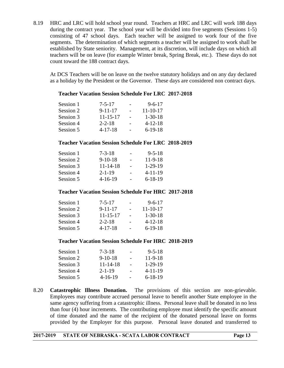8.19 HRC and LRC will hold school year round. Teachers at HRC and LRC will work 188 days during the contract year. The school year will be divided into five segments (Sessions 1-5) consisting of 47 school days. Each teacher will be assigned to work four of the five segments. The determination of which segments a teacher will be assigned to work shall be established by State seniority. Management, at its discretion, will include days on which all teachers will be on leave (for example Winter break, Spring Break, etc.). These days do not count toward the 188 contract days.

At DCS Teachers will be on leave on the twelve statutory holidays and on any day declared as a holiday by the President or the Governor. These days are considered non contract days.

#### **Teacher Vacation Session Schedule For LRC 2017-2018**

| Session 1 | $7 - 5 - 17$   | $9 - 6 - 17$   |
|-----------|----------------|----------------|
| Session 2 | $9 - 11 - 17$  | $11 - 10 - 17$ |
| Session 3 | $11 - 15 - 17$ | $1 - 30 - 18$  |
| Session 4 | $2 - 2 - 18$   | $4 - 12 - 18$  |
| Session 5 | $4 - 17 - 18$  | $6-19-18$      |
|           |                |                |

#### **Teacher Vacation Session Schedule For LRC 2018-2019**

| Session 1 | $7 - 3 - 18$   |                          | $9 - 5 - 18$  |
|-----------|----------------|--------------------------|---------------|
| Session 2 | $9-10-18$      | $\overline{\phantom{0}}$ | $11-9-18$     |
| Session 3 | $11 - 14 - 18$ |                          | $1-29-19$     |
| Session 4 | $2 - 1 - 19$   |                          | $4 - 11 - 19$ |
| Session 5 | $4 - 16 - 19$  |                          | $6-18-19$     |
|           |                |                          |               |

#### **Teacher Vacation Session Schedule For HRC 2017-2018**

| Session 1 | $7 - 5 - 17$   | $9 - 6 - 17$   |
|-----------|----------------|----------------|
| Session 2 | $9 - 11 - 17$  | $11 - 10 - 17$ |
| Session 3 | $11 - 15 - 17$ | $1 - 30 - 18$  |
| Session 4 | $2 - 2 - 18$   | $4 - 12 - 18$  |
| Session 5 | $4 - 17 - 18$  | $6-19-18$      |

#### **Teacher Vacation Session Schedule For HRC 2018-2019**

| Session 1 | $7 - 3 - 18$  |                          | $9 - 5 - 18$  |
|-----------|---------------|--------------------------|---------------|
| Session 2 | $9-10-18$     | $\overline{\phantom{0}}$ | $11-9-18$     |
| Session 3 | 11-14-18      |                          | $1-29-19$     |
| Session 4 | $2 - 1 - 19$  |                          | $4 - 11 - 19$ |
| Session 5 | $4 - 16 - 19$ |                          | $6 - 18 - 19$ |

8.20 **Catastrophic Illness Donation.** The provisions of this section are non-grievable. Employees may contribute accrued personal leave to benefit another State employee in the same agency suffering from a catastrophic illness. Personal leave shall be donated in no less than four (4) hour increments. The contributing employee must identify the specific amount of time donated and the name of the recipient of the donated personal leave on forms provided by the Employer for this purpose. Personal leave donated and transferred to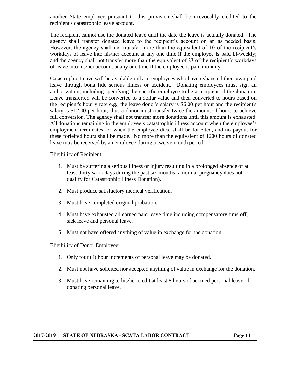another State employee pursuant to this provision shall be irrevocably credited to the recipient's catastrophic leave account.

The recipient cannot use the donated leave until the date the leave is actually donated. The agency shall transfer donated leave to the recipient's account on an as needed basis. However, the agency shall not transfer more than the equivalent of 10 of the recipient's workdays of leave into his/her account at any one time if the employee is paid bi-weekly; and the agency shall not transfer more than the equivalent of 23 of the recipient's workdays of leave into his/her account at any one time if the employee is paid monthly.

Catastrophic Leave will be available only to employees who have exhausted their own paid leave through bona fide serious illness or accident. Donating employees must sign an authorization, including specifying the specific employee to be a recipient of the donation. Leave transferred will be converted to a dollar value and then converted to hours based on the recipient's hourly rate e.g., the leave donor's salary is \$6.00 per hour and the recipient's salary is \$12.00 per hour; thus a donor must transfer twice the amount of hours to achieve full conversion. The agency shall not transfer more donations until this amount is exhausted. All donations remaining in the employee's catastrophic illness account when the employee's employment terminates, or when the employee dies, shall be forfeited, and no payout for these forfeited hours shall be made. No more than the equivalent of 1200 hours of donated leave may be received by an employee during a twelve month period.

Eligibility of Recipient:

- 1. Must be suffering a serious illness or injury resulting in a prolonged absence of at least thirty work days during the past six months (a normal pregnancy does not qualify for Catastrophic Illness Donation).
- 2. Must produce satisfactory medical verification.
- 3. Must have completed original probation.
- 4. Must have exhausted all earned paid leave time including compensatory time off, sick leave and personal leave.
- 5. Must not have offered anything of value in exchange for the donation.

Eligibility of Donor Employee:

- 1. Only four (4) hour increments of personal leave may be donated.
- 2. Must not have solicited nor accepted anything of value in exchange for the donation.
- 3. Must have remaining to his/her credit at least 8 hours of accrued personal leave, if donating personal leave.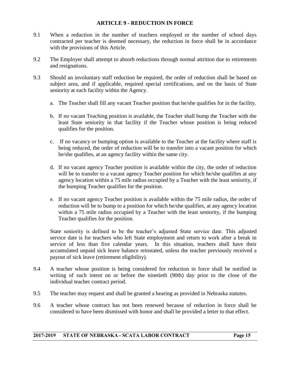#### **ARTICLE 9 - REDUCTION IN FORCE**

- 9.1 When a reduction in the number of teachers employed or the number of school days contracted per teacher is deemed necessary, the reduction in force shall be in accordance with the provisions of this Article.
- 9.2 The Employer shall attempt to absorb reductions through normal attrition due to retirements and resignations.
- 9.3 Should an involuntary staff reduction be required, the order of reduction shall be based on subject area, and if applicable, required special certifications, and on the basis of State seniority at each facility within the Agency.
	- a. The Teacher shall fill any vacant Teacher position that he/she qualifies for in the facility.
	- b. If no vacant Teaching position is available, the Teacher shall bump the Teacher with the least State seniority in that facility if the Teacher whose position is being reduced qualifies for the position.
	- c. If no vacancy or bumping option is available to the Teacher at the facility where staff is being reduced, the order of reduction will be to transfer into a vacant position for which he/she qualifies, at an agency facility within the same city.
	- d. If no vacant agency Teacher position is available within the city, the order of reduction will be to transfer to a vacant agency Teacher position for which he/she qualifies at any agency location within a 75 mile radius occupied by a Teacher with the least seniority, if the bumping Teacher qualifies for the position.
	- e. If no vacant agency Teacher position is available within the 75 mile radius, the order of reduction will be to bump to a position for which he/she qualifies, at any agency location within a 75 mile radius occupied by a Teacher with the least seniority, if the bumping Teacher qualifies for the position.

State seniority is defined to be the teacher's adjusted State service date. This adjusted service date is for teachers who left State employment and return to work after a break in service of less than five calendar years. In this situation, teachers shall have their accumulated unpaid sick leave balance reinstated, unless the teacher previously received a payout of sick leave (retirement eligibility).

- 9.4 A teacher whose position is being considered for reduction in force shall be notified in writing of such intent on or before the ninetieth (90th) day prior to the close of the individual teacher contract period.
- 9.5 The teacher may request and shall be granted a hearing as provided in Nebraska statutes.
- 9.6 A teacher whose contract has not been renewed because of reduction in force shall be considered to have been dismissed with honor and shall be provided a letter to that effect.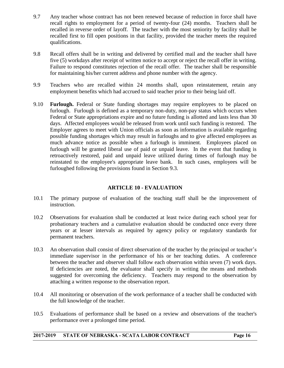- 9.7 Any teacher whose contract has not been renewed because of reduction in force shall have recall rights to employment for a period of twenty-four (24) months. Teachers shall be recalled in reverse order of layoff. The teacher with the most seniority by facility shall be recalled first to fill open positions in that facility, provided the teacher meets the required qualifications.
- 9.8 Recall offers shall be in writing and delivered by certified mail and the teacher shall have five (5) workdays after receipt of written notice to accept or reject the recall offer in writing. Failure to respond constitutes rejection of the recall offer. The teacher shall be responsible for maintaining his/her current address and phone number with the agency.
- 9.9 Teachers who are recalled within 24 months shall, upon reinstatement, retain any employment benefits which had accrued to said teacher prior to their being laid off.
- 9.10 **Furlough.** Federal or State funding shortages may require employees to be placed on furlough. Furlough is defined as a temporary non-duty, non-pay status which occurs when Federal or State appropriations expire and no future funding is allotted and lasts less than 30 days. Affected employees would be released from work until such funding is restored. The Employer agrees to meet with Union officials as soon as information is available regarding possible funding shortages which may result in furloughs and to give affected employees as much advance notice as possible when a furlough is imminent. Employees placed on furlough will be granted liberal use of paid or unpaid leave. In the event that funding is retroactively restored, paid and unpaid leave utilized during times of furlough may be reinstated to the employee's appropriate leave bank. In such cases, employees will be furloughed following the provisions found in Section 9.3.

#### **ARTICLE 10 - EVALUATION**

- 10.1 The primary purpose of evaluation of the teaching staff shall be the improvement of instruction.
- 10.2 Observations for evaluation shall be conducted at least twice during each school year for probationary teachers and a cumulative evaluation should be conducted once every three years or at lesser intervals as required by agency policy or regulatory standards for permanent teachers.
- 10.3 An observation shall consist of direct observation of the teacher by the principal or teacher's immediate supervisor in the performance of his or her teaching duties. A conference between the teacher and observer shall follow each observation within seven (7) work days. If deficiencies are noted, the evaluator shall specify in writing the means and methods suggested for overcoming the deficiency. Teachers may respond to the observation by attaching a written response to the observation report.
- 10.4 All monitoring or observation of the work performance of a teacher shall be conducted with the full knowledge of the teacher.
- 10.5 Evaluations of performance shall be based on a review and observations of the teacher's performance over a prolonged time period.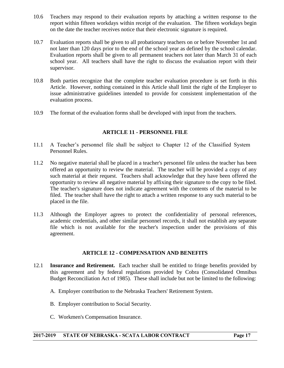- 10.6 Teachers may respond to their evaluation reports by attaching a written response to the report within fifteen workdays within receipt of the evaluation. The fifteen workdays begin on the date the teacher receives notice that their electronic signature is required.
- 10.7 Evaluation reports shall be given to all probationary teachers on or before November 1st and not later than 120 days prior to the end of the school year as defined by the school calendar. Evaluation reports shall be given to all permanent teachers not later than March 31 of each school year. All teachers shall have the right to discuss the evaluation report with their supervisor.
- 10.8 Both parties recognize that the complete teacher evaluation procedure is set forth in this Article. However, nothing contained in this Article shall limit the right of the Employer to issue administrative guidelines intended to provide for consistent implementation of the evaluation process.
- 10.9 The format of the evaluation forms shall be developed with input from the teachers.

#### **ARTICLE 11 - PERSONNEL FILE**

- 11.1 A Teacher's personnel file shall be subject to Chapter 12 of the Classified System Personnel Rules.
- 11.2 No negative material shall be placed in a teacher's personnel file unless the teacher has been offered an opportunity to review the material. The teacher will be provided a copy of any such material at their request. Teachers shall acknowledge that they have been offered the opportunity to review all negative material by affixing their signature to the copy to be filed. The teacher's signature does not indicate agreement with the contents of the material to be filed. The teacher shall have the right to attach a written response to any such material to be placed in the file.
- 11.3 Although the Employer agrees to protect the confidentiality of personal references, academic credentials, and other similar personnel records, it shall not establish any separate file which is not available for the teacher's inspection under the provisions of this agreement.

#### **ARTICLE 12 - COMPENSATION AND BENEFITS**

- 12.1 **Insurance and Retirement.** Each teacher shall be entitled to fringe benefits provided by this agreement and by federal regulations provided by Cobra (Consolidated Omnibus Budget Reconciliation Act of 1985). These shall include but not be limited to the following:
	- A. Employer contribution to the Nebraska Teachers' Retirement System.
	- B. Employer contribution to Social Security.
	- C. Workmen's Compensation Insurance.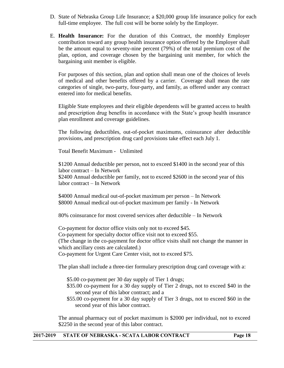- D. State of Nebraska Group Life Insurance; a \$20,000 group life insurance policy for each full-time employee. The full cost will be borne solely by the Employer.
- E. **Health Insurance:** For the duration of this Contract, the monthly Employer contribution toward any group health insurance option offered by the Employer shall be the amount equal to seventy-nine percent (79%) of the total premium cost of the plan, option, and coverage chosen by the bargaining unit member, for which the bargaining unit member is eligible.

For purposes of this section, plan and option shall mean one of the choices of levels of medical and other benefits offered by a carrier. Coverage shall mean the rate categories of single, two-party, four-party, and family, as offered under any contract entered into for medical benefits.

Eligible State employees and their eligible dependents will be granted access to health and prescription drug benefits in accordance with the State's group health insurance plan enrollment and coverage guidelines.

The following deductibles, out-of-pocket maximums, coinsurance after deductible provisions, and prescription drug card provisions take effect each July 1.

Total Benefit Maximum - Unlimited

\$1200 Annual deductible per person, not to exceed \$1400 in the second year of this labor contract – In Network \$2400 Annual deductible per family, not to exceed \$2600 in the second year of this labor contract – In Network

\$4000 Annual medical out-of-pocket maximum per person – In Network \$8000 Annual medical out-of-pocket maximum per family - In Network

80% coinsurance for most covered services after deductible – In Network

Co-payment for doctor office visits only not to exceed \$45. Co-payment for specialty doctor office visit not to exceed \$55. (The change in the co-payment for doctor office visits shall not change the manner in which ancillary costs are calculated.) Co-payment for Urgent Care Center visit, not to exceed \$75.

The plan shall include a three-tier formulary prescription drug card coverage with a:

\$5.00 co-payment per 30 day supply of Tier 1 drugs;

- \$35.00 co-payment for a 30 day supply of Tier 2 drugs, not to exceed \$40 in the second year of this labor contract; and a
- \$55.00 co-payment for a 30 day supply of Tier 3 drugs, not to exceed \$60 in the second year of this labor contract.

The annual pharmacy out of pocket maximum is \$2000 per individual, not to exceed \$2250 in the second year of this labor contract.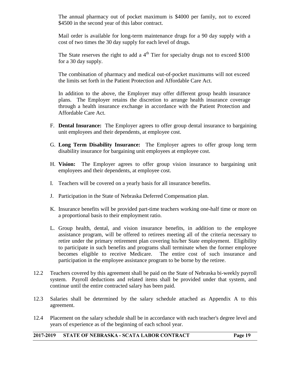The annual pharmacy out of pocket maximum is \$4000 per family, not to exceed \$4500 in the second year of this labor contract.

Mail order is available for long-term maintenance drugs for a 90 day supply with a cost of two times the 30 day supply for each level of drugs.

The State reserves the right to add a  $4<sup>th</sup>$  Tier for specialty drugs not to exceed \$100 for a 30 day supply.

The combination of pharmacy and medical out-of-pocket maximums will not exceed the limits set forth in the Patient Protection and Affordable Care Act.

In addition to the above, the Employer may offer different group health insurance plans. The Employer retains the discretion to arrange health insurance coverage through a health insurance exchange in accordance with the Patient Protection and Affordable Care Act.

- F. **Dental Insurance:** The Employer agrees to offer group dental insurance to bargaining unit employees and their dependents, at employee cost.
- G. **Long Term Disability Insurance:** The Employer agrees to offer group long term disability insurance for bargaining unit employees at employee cost.
- H. **Vision:** The Employer agrees to offer group vision insurance to bargaining unit employees and their dependents, at employee cost.
- I. Teachers will be covered on a yearly basis for all insurance benefits.
- J. Participation in the State of Nebraska Deferred Compensation plan.
- K. Insurance benefits will be provided part-time teachers working one-half time or more on a proportional basis to their employment ratio.
- L. Group health, dental, and vision insurance benefits, in addition to the employee assistance program, will be offered to retirees meeting all of the criteria necessary to retire under the primary retirement plan covering his/her State employment. Eligibility to participate in such benefits and programs shall terminate when the former employee becomes eligible to receive Medicare. The entire cost of such insurance and participation in the employee assistance program to be borne by the retiree.
- 12.2 Teachers covered by this agreement shall be paid on the State of Nebraska bi-weekly payroll system. Payroll deductions and related items shall be provided under that system, and continue until the entire contracted salary has been paid.
- 12.3 Salaries shall be determined by the salary schedule attached as Appendix A to this agreement.
- 12.4 Placement on the salary schedule shall be in accordance with each teacher's degree level and years of experience as of the beginning of each school year.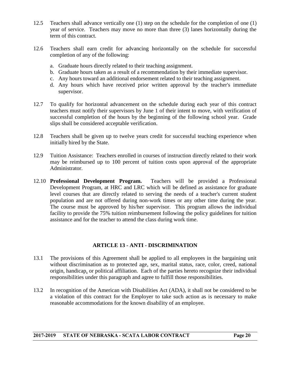- 12.5 Teachers shall advance vertically one (1) step on the schedule for the completion of one (1) year of service. Teachers may move no more than three (3) lanes horizontally during the term of this contract.
- 12.6 Teachers shall earn credit for advancing horizontally on the schedule for successful completion of any of the following:
	- a. Graduate hours directly related to their teaching assignment.
	- b. Graduate hours taken as a result of a recommendation by their immediate supervisor.
	- c. Any hours toward an additional endorsement related to their teaching assignment.
	- d. Any hours which have received prior written approval by the teacher's immediate supervisor.
- 12.7 To qualify for horizontal advancement on the schedule during each year of this contract teachers must notify their supervisors by June 1 of their intent to move, with verification of successful completion of the hours by the beginning of the following school year. Grade slips shall be considered acceptable verification.
- 12.8 Teachers shall be given up to twelve years credit for successful teaching experience when initially hired by the State.
- 12.9 Tuition Assistance: Teachers enrolled in courses of instruction directly related to their work may be reimbursed up to 100 percent of tuition costs upon approval of the appropriate Administrator.
- 12.10 **Professional Development Program.** Teachers will be provided a Professional Development Program, at HRC and LRC which will be defined as assistance for graduate level courses that are directly related to serving the needs of a teacher's current student population and are not offered during non-work times or any other time during the year. The course must be approved by his/her supervisor. This program allows the individual facility to provide the 75% tuition reimbursement following the policy guidelines for tuition assistance and for the teacher to attend the class during work time.

#### **ARTICLE 13 - ANTI - DISCRIMINATION**

- 13.1 The provisions of this Agreement shall be applied to all employees in the bargaining unit without discrimination as to protected age, sex, marital status, race, color, creed, national origin, handicap, or political affiliation. Each of the parties hereto recognize their individual responsibilities under this paragraph and agree to fulfill those responsibilities.
- 13.2 In recognition of the American with Disabilities Act (ADA), it shall not be considered to be a violation of this contract for the Employer to take such action as is necessary to make reasonable accommodations for the known disability of an employee.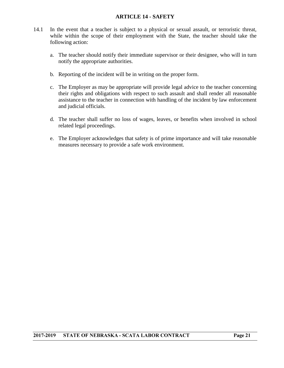#### **ARTICLE 14 - SAFETY**

- 14.1 In the event that a teacher is subject to a physical or sexual assault, or terroristic threat, while within the scope of their employment with the State, the teacher should take the following action:
	- a. The teacher should notify their immediate supervisor or their designee, who will in turn notify the appropriate authorities.
	- b. Reporting of the incident will be in writing on the proper form.
	- c. The Employer as may be appropriate will provide legal advice to the teacher concerning their rights and obligations with respect to such assault and shall render all reasonable assistance to the teacher in connection with handling of the incident by law enforcement and judicial officials.
	- d. The teacher shall suffer no loss of wages, leaves, or benefits when involved in school related legal proceedings.
	- e. The Employer acknowledges that safety is of prime importance and will take reasonable measures necessary to provide a safe work environment.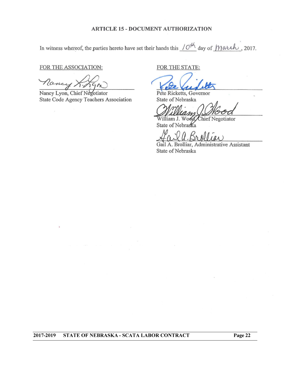#### **ARTICLE 15 - DOCUMENT AUTHORIZATION**

In witness whereof, the parties hereto have set their hands this  $10^{14}$  day of  $M$  aveh, 2017.

FOR THE ASSOCIATION:

Nancy K. R.

Nancy Lyon, Chief Negotiator State Code Agency Teachers Association

FOR THE STATE:

Pete Ricketts, Governor State of Nebraska

William J. Wood, Chief Negotiator State of Nebraska

Gail A. Brolliar, Administrative Assistant State of Nebraska

 $\overline{2017 - 2019}$ **STATE OF NEBRASKA - SCATA LABOR CONTRACT**  Page 22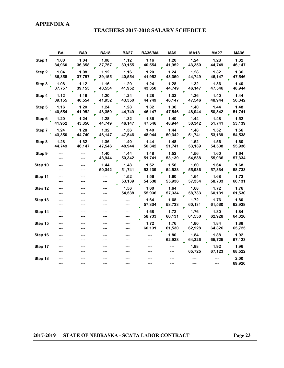#### **APPENDIX A**

#### **TEACHERS 2017-2018 SALARY SCHEDULE**

|         | <b>BA</b>      | BA <sub>9</sub> | <b>BA18</b>    | <b>BA27</b>    | <b>BA36/MA</b> | MA <sub>9</sub> | <b>MA18</b>    | <b>MA27</b>    | <b>MA36</b>    |
|---------|----------------|-----------------|----------------|----------------|----------------|-----------------|----------------|----------------|----------------|
| Step 1  | 1.00<br>34,960 | 1.04<br>36,358  | 1.08<br>37,757 | 1.12<br>39,155 | 1.16<br>40,554 | 1.20<br>41,952  | 1.24<br>43,350 | 1.28<br>44,749 | 1.32<br>46,147 |
| Step 2  | 1.04<br>36,358 | 1.08<br>37,757  | 1.12<br>39,155 | 1.16<br>40,554 | 1.20<br>41,952 | 1.24<br>43,350  | 1.28<br>44,749 | 1.32<br>46,147 | 1.36<br>47,546 |
| Step 3  | 1.08<br>37,757 | 1.12<br>39,155  | 1.16<br>40,554 | 1.20<br>41,952 | 1.24<br>43,350 | 1.28<br>44,749  | 1.32<br>46,147 | 1.36<br>47,546 | 1.40<br>48,944 |
| Step 4  | 1.12<br>39,155 | 1.16<br>40,554  | 1.20<br>41,952 | 1.24<br>43,350 | 1.28<br>44,749 | 1.32<br>46,147  | 1.36<br>47,546 | 1.40<br>48,944 | 1.44<br>50,342 |
| Step 5  | 1.16<br>40,554 | 1.20<br>41,952  | 1.24<br>43,350 | 1.28<br>44,749 | 1.32<br>46,147 | 1.36<br>47,546  | 1.40<br>48,944 | 1.44<br>50,342 | 1.48<br>51,741 |
| Step 6  | 1.20<br>41,952 | 1.24<br>43,350  | 1.28<br>44,749 | 1.32<br>46,147 | 1.36<br>47,546 | 1.40<br>48,944  | 1.44<br>50,342 | 1.48<br>51,741 | 1.52<br>53,139 |
| Step 7  | 1.24<br>43,350 | 1.28<br>44,749  | 1.32<br>46,147 | 1.36<br>47,546 | 1.40<br>48,944 | 1.44<br>50,342  | 1.48<br>51,741 | 1.52<br>53,139 | 1.56<br>54,538 |
| Step 8  | 1.28<br>44,749 | 1.32<br>46,147  | 1.36<br>47,546 | 1.40<br>48,944 | 1.44<br>50,342 | 1.48<br>51,741  | 1.52<br>53,139 | 1.56<br>54,538 | 1.60<br>55,936 |
| Step 9  |                |                 | 1.40<br>48,944 | 1.44<br>50,342 | 1.48<br>51,741 | 1.52<br>53,139  | 1.56<br>54,538 | 1.60<br>55,936 | 1.64<br>57,334 |
| Step 10 |                |                 | 1.44<br>50,342 | 1.48<br>51,741 | 1.52<br>53,139 | 1.56<br>54,538  | 1.60<br>55,936 | 1.64<br>57,334 | 1.68<br>58,733 |
| Step 11 |                |                 | ---<br>---     | 1.52<br>53,139 | 1.56<br>54,538 | 1.60<br>55,936  | 1.64<br>57,334 | 1.68<br>58,733 | 1.72<br>60,131 |
| Step 12 | ---            |                 | ---<br>---     | 1.56<br>54,538 | 1.60<br>55,936 | 1.64<br>57,334  | 1.68<br>58,733 | 1.72<br>60,131 | 1.76<br>61,530 |
| Step 13 | ---            |                 |                | ---<br>---     | 1.64<br>57,334 | 1.68<br>58,733  | 1.72<br>60,131 | 1.76<br>61,530 | 1.80<br>62,928 |
| Step 14 | ---            |                 |                | ---<br>---     | 1.68<br>58,733 | 1.72<br>60,131  | 1.76<br>61,530 | 1.80<br>62,928 | 1.84<br>64,326 |
| Step 15 | ---            |                 |                | ---            | 1.72<br>60,131 | 1.76<br>61,530  | 1.80<br>62,928 | 1.84<br>64,326 | 1.88<br>65,725 |
| Step 16 | ---            |                 |                |                |                | 1.80<br>62,928  | 1.84<br>64,326 | 1.88<br>65,725 | 1.92<br>67,123 |
| Step 17 |                |                 |                |                |                |                 | 1.88<br>65,725 | 1.92<br>67,123 | 1.96<br>68,522 |
| Step 18 |                |                 |                |                |                |                 |                | ---            | 2.00<br>69,920 |

2017-2019 STATE OF NEBRASKA - SCATA LABOR CONTRACT

Page 23